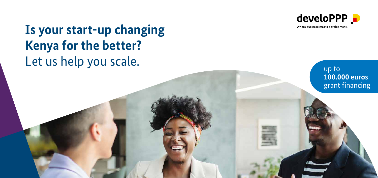

up to

**100.000 euros**  grant financing

Where business meets development.

## **Is your start-up changing Kenya for the better?** Let us help you scale.